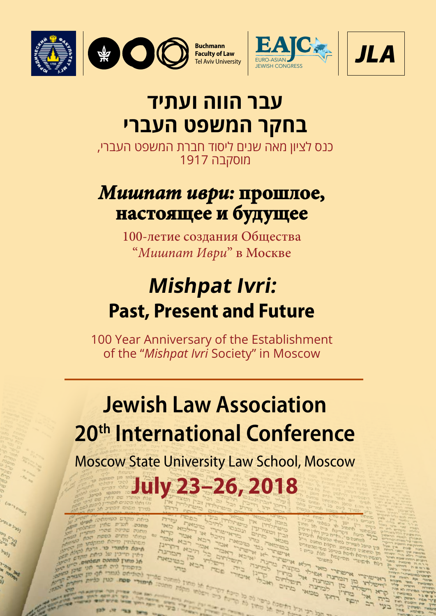





## **עבר הווה ועתיד בחקר המשפט העברי**

כנס לציון מאה שנים ליסוד חברת המשפט העברי, מוסקבה 1917

## *Мишпат иври:* **прошлое, настоящее и будущее**

100-летие создания Общества "*Мишпат Иври*" в Москве

# **Mishpat Ivri: Past, Present and Future**

100 Year Anniversary of the Establishment of the "*Mishpat Ivri* Society" in Moscow

# **Jewish Law Association 20th International Conference**

Moscow State University Law School, Moscow

**July 23–26, 2018**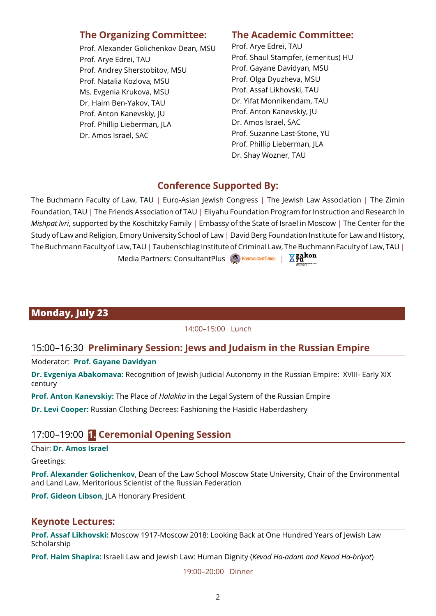## **The Organizing Committee:**

Prof. Alexander Golichenkov Dean, MSU Prof. Arye Edrei, TAU Prof. Andrey Sherstobitov, MSU Prof. Natalia Kozlova, MSU Ms. Evgenia Krukova, MSU Dr. Haim Ben-Yakov, TAU Prof. Anton Kanevskiy, JU Prof. Phillip Lieberman, JLA Dr. Amos Israel, SAC

#### **The Academic Committee:**

Prof. Arye Edrei, TAU Prof. Shaul Stampfer, (emeritus) HU Prof. Gayane Davidyan, MSU Prof. Olga Dyuzheva, MSU Prof. Assaf Likhovski, TAU Dr. Yifat Monnikendam, TAU Prof. Anton Kanevskiy, JU Dr. Amos Israel, SAC Prof. Suzanne Last-Stone, YU Prof. Phillip Lieberman, JLA Dr. Shay Wozner, TAU

## **Conference Supported By:**

The Buchmann Faculty of Law, TAU | Euro-Asian Jewish Congress | The Jewish Law Association | The Zimin Foundation, TAU | The Friends Association of TAU | Eliyahu Foundation Program for Instruction and Research In *Mishpat Ivri*, supported by the Koschitzky Family | Embassy of the State of Israel in Moscow | The Center for the Study of Law and Religion, Emory University School of Law | David Berg Foundation Institute for Law and History, The Buchmann Faculty of Law, TAU | Taubenschlag Institute of Criminal Law, The Buchmann Faculty of Law, TAU | Media Partners: ConsultantPlus **6 КонсультантПлюс** | **Xzakon** 

## **Monday, July 23**

#### 14:00–15:00 Lunch

## 15:00–16:30 **Preliminary Session: Jews and Judaism in the Russian Empire**

Moderator: **Prof. Gayane Davidyan**

**Dr. Evgeniya Abakomava:** Recognition of Jewish Judicial Autonomy in the Russian Empire: XVIII- Early XIX century

**Prof. Anton Kanevskiy:** The Place of *Halakha* in the Legal System of the Russian Empire

**Dr. Levi Cooper:** Russian Clothing Decrees: Fashioning the Hasidic Haberdashery

## 17:00–19:00 **1. Ceremonial Opening Session**

Chair: **Dr. Amos Israel**

Greetings:

**Prof. Alexander Golichenkov**, Dean of the Law School Moscow State University, Chair of the Environmental and Land Law, Meritorious Scientist of the Russian Federation

**Prof. Gideon Libson**, JLA Honorary President

#### **Keynote Lectures:**

**Prof. Assaf Likhovski:** Moscow 1917-Moscow 2018: Looking Back at One Hundred Years of Jewish Law Scholarship

**Prof. Haim Shapira:** Israeli Law and Jewish Law: Human Dignity (*Kevod Ha-adam and Kevod Ha-briyot*)

19:00–20:00 Dinner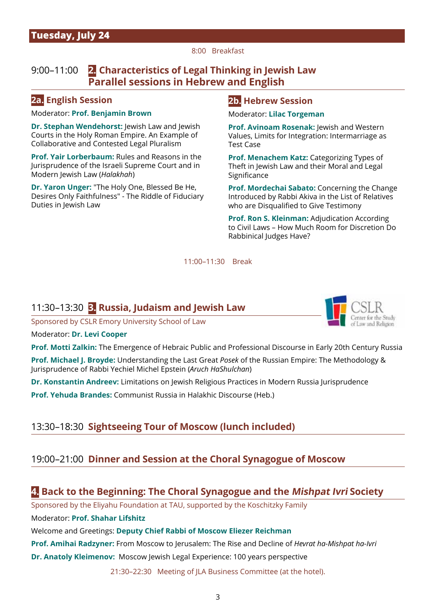#### 8:00 Breakfast

## 9:00–11:00 **2. Characteristics of Legal Thinking in Jewish Law Parallel sessions in Hebrew and English**

#### **2a. English Session**

#### Moderator: **Prof. Benjamin Brown**

**Dr. Stephan Wendehorst:** Jewish Law and Jewish Courts in the Holy Roman Empire. An Example of Collaborative and Contested Legal Pluralism

**Prof. Yair Lorberbaum:** Rules and Reasons in the Jurisprudence of the Israeli Supreme Court and in Modern Jewish Law (*Halakhah*)

**Dr. Yaron Unger:** "The Holy One, Blessed Be He, Desires Only Faithfulness" - The Riddle of Fiduciary Duties in Jewish Law

#### **2b. Hebrew Session**

Moderator: **Lilac Torgeman**

**Prof. Avinoam Rosenak: Jewish and Western** Values, Limits for Integration: Intermarriage as Test Case

**Prof. Menachem Katz:** Categorizing Types of Theft in Jewish Law and their Moral and Legal Significance

**Prof. Mordechai Sabato:** Concerning the Change Introduced by Rabbi Akiva in the List of Relatives who are Disqualified to Give Testimony

**Prof. Ron S. Kleinman:** Adjudication According to Civil Laws – How Much Room for Discretion Do Rabbinical Judges Have?

11:00–11:30 Break

#### 11:30–13:30 **3. Russia, Judaism and Jewish Law**

Sponsored by CSLR Emory University School of Law



Moderator: **Dr. Levi Cooper**

**Prof. Motti Zalkin:** The Emergence of Hebraic Public and Professional Discourse in Early 20th Century Russia

**Prof. Michael J. Broyde:** Understanding the Last Great *Posek* of the Russian Empire: The Methodology & Jurisprudence of Rabbi Yechiel Michel Epstein (*Aruch HaShulchan*)

**Dr. Konstantin Andreev:** Limitations on Jewish Religious Practices in Modern Russia Jurisprudence

**Prof. Yehuda Brandes:** Communist Russia in Halakhic Discourse (Heb.)

#### 13:30–18:30 **Sightseeing Tour of Moscow (lunch included)**

#### 19:00–21:00 **Dinner and Session at the Choral Synagogue of Moscow**

#### **4. Back to the Beginning: The Choral Synagogue and the Mishpat Ivri Society**

Sponsored by the Eliyahu Foundation at TAU, supported by the Koschitzky Family

Moderator: **Prof. Shahar Lifshitz**

Welcome and Greetings: **Deputy Chief Rabbi of Moscow Eliezer Reichman** 

**Prof. Amihai Radzyner:** From Moscow to Jerusalem: The Rise and Decline of *Hevrat ha-Mishpat ha-Ivri*

**Dr. Anatoly Kleimenov:** Moscow Jewish Legal Experience: 100 years perspective

21:30–22:30 Meeting of JLA Business Committee (at the hotel).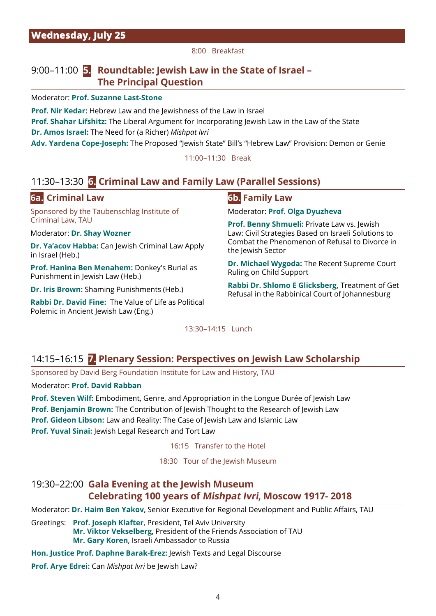8:00 Breakfast

## 9:00–11:00 **5. Roundtable: Jewish Law in the State of Israel – The Principal Question**

Moderator: **Prof. Suzanne Last-Stone**

**Prof. Nir Kedar:** Hebrew Law and the Jewishness of the Law in Israel **Prof. Shahar Lifshitz:** The Liberal Argument for Incorporating Jewish Law in the Law of the State **Dr. Amos Israel:** The Need for (a Richer) *Mishpat Ivri*

**Adv. Yardena Cope-Joseph:** The Proposed "Jewish State" Bill's "Hebrew Law" Provision: Demon or Genie

11:00–11:30 Break

## 11:30–13:30 **6. Criminal Law and Family Law (Parallel Sessions)**

#### **6a. Criminal Law**

Sponsored by the Taubenschlag Institute of Criminal Law, TAU

Moderator: **Dr. Shay Wozner**

**Dr. Ya'acov Habba:** Can Jewish Criminal Law Apply in Israel (Heb.)

**Prof. Hanina Ben Menahem:** Donkey's Burial as Punishment in Jewish Law (Heb.)

**Dr. Iris Brown:** Shaming Punishments (Heb.)

**Rabbi Dr. David Fine:** The Value of Life as Political Polemic in Ancient Jewish Law (Eng.)

#### **6b. Family Law**

Moderator: **Prof. Olga Dyuzheva**

**Prof. Benny Shmueli:** Private Law vs. Jewish Law: Civil Strategies Based on Israeli Solutions to Combat the Phenomenon of Refusal to Divorce in the Jewish Sector

**Dr. Michael Wygoda:** The Recent Supreme Court Ruling on Child Support

**Rabbi Dr. Shlomo E Glicksberg,** Treatment of Get Refusal in the Rabbinical Court of Johannesburg

13:30–14:15 Lunch

#### 14:15–16:15 **7. Plenary Session: Perspectives on Jewish Law Scholarship**

Sponsored by David Berg Foundation Institute for Law and History, TAU

#### Moderator: **Prof. David Rabban**

**Prof. Steven Wilf:** Embodiment, Genre, and Appropriation in the Longue Durée of Jewish Law **Prof. Benjamin Brown:** The Contribution of Jewish Thought to the Research of Jewish Law **Prof. Gideon Libson:** Law and Reality: The Case of Jewish Law and Islamic Law **Prof. Yuval Sinai: Jewish Legal Research and Tort Law** 

16:15 Transfer to the Hotel

18:30 Tour of the Jewish Museum

## 19:30–22:00 **Gala Evening at the Jewish Museum Celebrating 100 years of Mishpat Ivri, Moscow 1917- 2018**

Moderator: **Dr. Haim Ben Yakov**, Senior Executive for Regional Development and Public Affairs, TAU

Greetings: **Prof. Joseph Klafter**, President, Tel Aviv University **Mr. Viktor Vekselberg**, President of the Friends Association of TAU **Mr. Gary Koren**, Israeli Ambassador to Russia

**Hon. Justice Prof. Daphne Barak-Erez:** Jewish Texts and Legal Discourse

**Prof. Arye Edrei:** Can *Mishpat Ivri* be Jewish Law?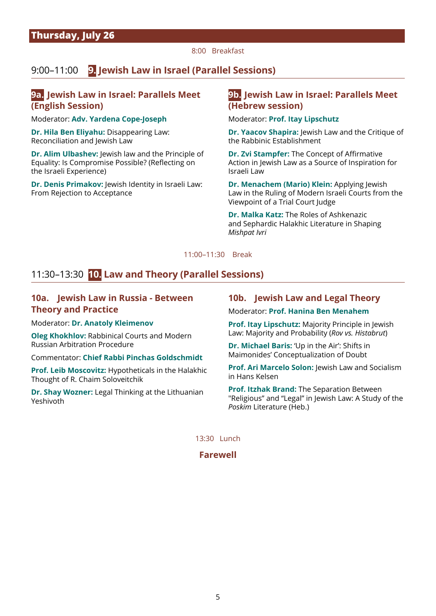8:00 Breakfast

## 9:00–11:00 **9. Jewish Law in Israel (Parallel Sessions)**

#### **9a. Jewish Law in Israel: Parallels Meet (English Session)**

Moderator: **Adv. Yardena Cope-Joseph**

**Dr. Hila Ben Eliyahu:** Disappearing Law: Reconciliation and Jewish Law

**Dr. Alim Ulbashev:** Jewish law and the Principle of Equality: Is Compromise Possible? (Reflecting on the Israeli Experience)

**Dr. Denis Primakov:** Jewish Identity in Israeli Law: From Rejection to Acceptance

#### **9b. Jewish Law in Israel: Parallels Meet (Hebrew session)**

Moderator: **Prof. Itay Lipschutz** 

**Dr. Yaacov Shapira:** Jewish Law and the Critique of the Rabbinic Establishment

**Dr. Zvi Stampfer:** The Concept of Affirmative Action in Jewish Law as a Source of Inspiration for Israeli Law

**Dr. Menachem (Mario) Klein:** Applying Jewish Law in the Ruling of Modern Israeli Courts from the Viewpoint of a Trial Court Judge

**Dr. Malka Katz:** The Roles of Ashkenazic and Sephardic Halakhic Literature in Shaping *Mishpat Ivri*

11:00–11:30 Break

## 11:30–13:30 **10. Law and Theory (Parallel Sessions)**

#### **10a. Jewish Law in Russia - Between Theory and Practice**

Moderator: **Dr. Anatoly Kleimenov**

**Oleg Khokhlov:** Rabbinical Courts and Modern Russian Arbitration Procedure

Commentator: **Chief Rabbi Pinchas Goldschmidt**

**Prof. Leib Moscovitz:** Hypotheticals in the Halakhic Thought of R. Chaim Soloveitchik

**Dr. Shay Wozner:** Legal Thinking at the Lithuanian Yeshivoth

#### **10b. Jewish Law and Legal Theory**

Moderator: **Prof. Hanina Ben Menahem** 

**Prof. Itay Lipschutz:** Majority Principle in Jewish Law: Majority and Probability (*Rov vs. Histabrut*)

**Dr. Michael Baris:** 'Up in the Air': Shifts in Maimonides' Conceptualization of Doubt

**Prof. Ari Marcelo Solon: lewish Law and Socialism** in Hans Kelsen

**Prof. Itzhak Brand:** The Separation Between "Religious" and "Legal" in Jewish Law: A Study of the *Poskim* Literature (Heb.)

13:30 Lunch

**Farewell**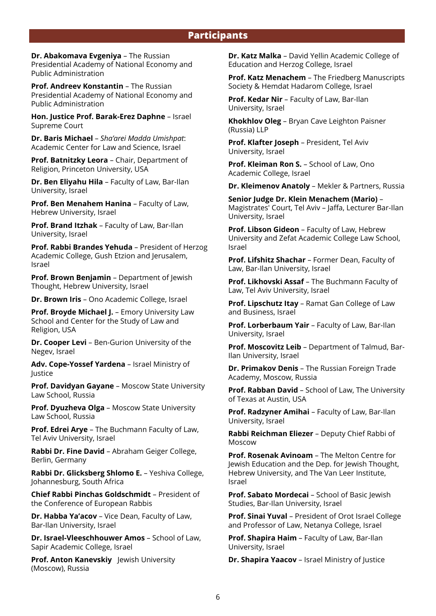**Dr. Abakomava Evgeniya** – The Russian Presidential Academy of National Economy and Public Administration

**Prof. Andreev Konstantin** – The Russian Presidential Academy of National Economy and Public Administration

**Hon. Justice Prof. Barak-Erez Daphne** – Israel Supreme Court

**Dr. Baris Michael** – *Sha'arei Madda Umishpat*: Academic Center for Law and Science, Israel

**Prof. Batnitzky Leora** – Chair, Department of Religion, Princeton University, USA

**Dr. Ben Eliyahu Hila** – Faculty of Law, Bar-Ilan University, Israel

**Prof. Ben Menahem Hanina** – Faculty of Law, Hebrew University, Israel

**Prof. Brand Itzhak** – Faculty of Law, Bar-Ilan University, Israel

**Prof. Rabbi Brandes Yehuda** – President of Herzog Academic College, Gush Etzion and Jerusalem, Israel

**Prof. Brown Benjamin** – Department of Jewish Thought, Hebrew University, Israel

**Dr. Brown Iris** – Ono Academic College, Israel

**Prof. Broyde Michael J. - Emory University Law** School and Center for the Study of Law and Religion, USA

**Dr. Cooper Levi** – Ben-Gurion University of the Negev, Israel

**Adv. Cope-Yossef Yardena** – Israel Ministry of Justice

**Prof. Davidyan Gayane** – Moscow State University Law School, Russia

**Prof. Dyuzheva Olga** – Moscow State University Law School, Russia

**Prof. Edrei Arye** – The Buchmann Faculty of Law, Tel Aviv University, Israel

**Rabbi Dr. Fine David** – Abraham Geiger College, Berlin, Germany

**Rabbi Dr. Glicksberg Shlomo E.** – Yeshiva College, Johannesburg, South Africa

**Chief Rabbi Pinchas Goldschmidt** – President of the Conference of European Rabbis

**Dr. Habba Ya'acov** – Vice Dean, Faculty of Law, Bar-Ilan University, Israel

**Dr. Israel-Vleeschhouwer Amos** – School of Law, Sapir Academic College, Israel

**Prof. Anton Kanevskiy** Jewish University (Moscow), Russia

**Dr. Katz Malka** – David Yellin Academic College of Education and Herzog College, Israel

**Prof. Katz Menachem** – The Friedberg Manuscripts Society & Hemdat Hadarom College, Israel

**Prof. Kedar Nir** – Faculty of Law, Bar-Ilan University, Israel

**Khokhlov Oleg** – Bryan Cave Leighton Paisner (Russia) LLP

**Prof. Klafter Joseph** – President, Tel Aviv University, Israel

**Prof. Kleiman Ron S. - School of Law, Ono** Academic College, Israel

**Dr. Kleimenov Anatoly** – Mekler & Partners, Russia

**Senior Judge Dr. Klein Menachem (Mario)** – Magistrates' Court, Tel Aviv – Jaffa, Lecturer Bar-Ilan University, Israel

**Prof. Libson Gideon** – Faculty of Law, Hebrew University and Zefat Academic College Law School, Israel

**Prof. Lifshitz Shachar** – Former Dean, Faculty of Law, Bar-Ilan University, Israel

**Prof. Likhovski Assaf** – The Buchmann Faculty of Law, Tel Aviv University, Israel

**Prof. Lipschutz Itay** – Ramat Gan College of Law and Business, Israel

**Prof. Lorberbaum Yair** – Faculty of Law, Bar-Ilan University, Israel

**Prof. Moscovitz Leib** – Department of Talmud, Bar-Ilan University, Israel

**Dr. Primakov Denis** – The Russian Foreign Trade Academy, Moscow, Russia

**Prof. Rabban David** – School of Law, The University of Texas at Austin, USA

**Prof. Radzyner Amihai** – Faculty of Law, Bar-Ilan University, Israel

**Rabbi Reichman Eliezer** – Deputy Chief Rabbi of Moscow

**Prof. Rosenak Avinoam** – The Melton Centre for Jewish Education and the Dep. for Jewish Thought, Hebrew University, and The Van Leer Institute, Israel

**Prof. Sabato Mordecai** – School of Basic Jewish Studies, Bar-Ilan University, Israel

**Prof. Sinai Yuval** – President of Orot Israel College and Professor of Law, Netanya College, Israel

**Prof. Shapira Haim** – Faculty of Law, Bar-Ilan University, Israel

**Dr. Shapira Yaacov** – Israel Ministry of Justice